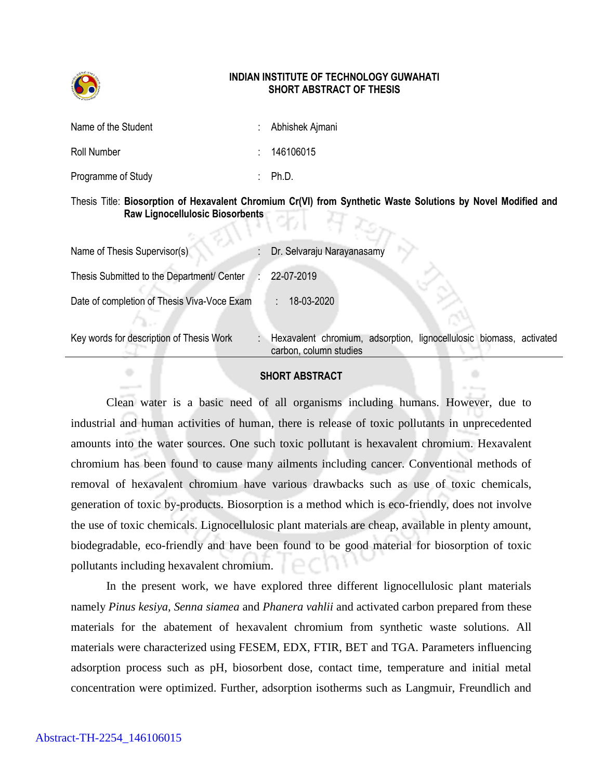

## **INDIAN INSTITUTE OF TECHNOLOGY GUWAHATI SHORT ABSTRACT OF THESIS**

| Name of the Student | : Abhishek Ajmani  |
|---------------------|--------------------|
| Roll Number         | : 146106015        |
| Programme of Study  | $\therefore$ Ph.D. |

## Thesis Title: **Biosorption of Hexavalent Chromium Cr(VI) from Synthetic Waste Solutions by Novel Modified and Raw Lignocellulosic Biosorbents** 4 km

| Name of Thesis Supervisor(s)                | Dr. Selvaraju Narayanasamy                                                                    |
|---------------------------------------------|-----------------------------------------------------------------------------------------------|
| Thesis Submitted to the Department/ Center  | 22-07-2019                                                                                    |
| Date of completion of Thesis Viva-Voce Exam | 18-03-2020                                                                                    |
| Key words for description of Thesis Work    | Hexavalent chromium, adsorption, lignocellulosic biomass, activated<br>carbon, column studies |

## **SHORT ABSTRACT**

۰

Clean water is a basic need of all organisms including humans. However, due to industrial and human activities of human, there is release of toxic pollutants in unprecedented amounts into the water sources. One such toxic pollutant is hexavalent chromium. Hexavalent chromium has been found to cause many ailments including cancer. Conventional methods of removal of hexavalent chromium have various drawbacks such as use of toxic chemicals, generation of toxic by-products. Biosorption is a method which is eco-friendly, does not involve the use of toxic chemicals. Lignocellulosic plant materials are cheap, available in plenty amount, biodegradable, eco-friendly and have been found to be good material for biosorption of toxic pollutants including hexavalent chromium.

In the present work, we have explored three different lignocellulosic plant materials namely *Pinus kesiya, Senna siamea* and *Phanera vahlii* and activated carbon prepared from these materials for the abatement of hexavalent chromium from synthetic waste solutions. All materials were characterized using FESEM, EDX, FTIR, BET and TGA. Parameters influencing adsorption process such as pH, biosorbent dose, contact time, temperature and initial metal concentration were optimized. Further, adsorption isotherms such as Langmuir, Freundlich and

 $\oplus$